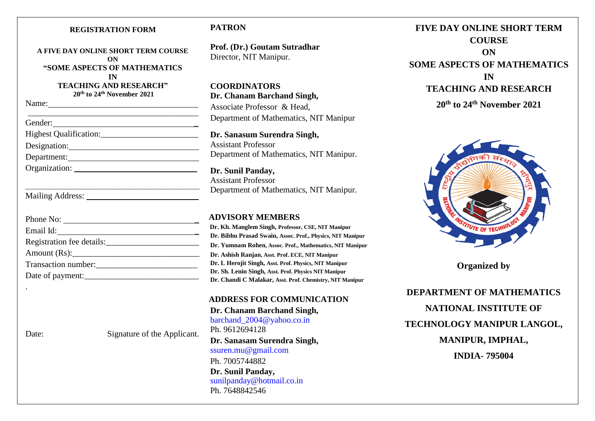#### **REGISTRATION FORM**

**A FIVE DAY ONLINE SHORT TERM COURSE ON "SOME ASPECTS OF MATHEMATICS IN TEACHING AND RESEARCH" 20th to 24th November 2021**

\_\_\_\_\_\_\_\_\_\_\_\_\_\_\_\_\_\_\_\_\_\_\_\_\_\_\_\_\_\_\_\_\_\_\_\_\_\_\_\_\_\_

Name:

Gender:

Highest Qualification:\_\_\_\_\_\_\_\_\_\_\_\_\_\_\_\_\_\_\_\_\_\_\_

Designation:

Department:

Organization: \_\_\_\_\_\_\_\_\_\_\_\_\_\_\_\_\_\_\_\_\_\_\_\_\_\_\_\_\_

Mailing Address:

| Phone No:                 |
|---------------------------|
| Email Id:                 |
| Registration fee details: |
|                           |
| Transaction number:       |
| Date of payment:          |
|                           |

\_\_\_\_\_\_\_\_\_\_\_\_\_\_\_\_\_\_\_\_\_\_\_\_\_\_\_\_\_\_\_\_\_\_\_\_\_\_\_\_\_\_\_\_\_\_\_\_\_\_\_\_

Date: Signature of the Applicant.

### **PATRON**

**Prof. (Dr.) Goutam Sutradhar** Director, NIT Manipur.

**COORDINATORS Dr. Chanam Barchand Singh,** Associate Professor & Head, Department of Mathematics, NIT Manipur

**Dr. Sanasum Surendra Singh,** Assistant Professor Department of Mathematics, NIT Manipur.

**Dr. Sunil Panday,** Assistant Professor Department of Mathematics, NIT Manipur.

### **ADVISORY MEMBERS**

 **Dr. Kh. Manglem Singh, Professor, CSE, NIT Manipur [Dr. Bibhu Prasad Swain,](about:blank) Assoc. Prof., Physics, NIT Manipur Dr. Yumnam Rohen, Assoc. Prof., Mathematics, NIT Manipur Dr. Ashish Ranjan, Asst. Prof. ECE, NIT Manipur Dr. L Herojit Singh, Asst. Prof. Physics, NIT Manipur Dr. Sh. Lenin Singh, Asst. Prof. Physics NIT Manipur Dr. Chandi C Malakar, Asst. Prof. Chemistry, NIT Manipur**

**ADDRESS FOR COMMUNICATION**

**Dr. Chanam Barchand Singh,**  [barchand\\_2004@yahoo.co.in](about:blank) Ph. 9612694128 **Dr. Sanasam Surendra Singh,**  [ssuren.mu@gmail.com](about:blank) Ph. 7005744882 **Dr. Sunil Panday,**  [sunilpanday@hotmail.co.in](about:blank) Ph. 7648842546

**FIVE DAY ONLINE SHORT TERM COURSE ON SOME ASPECTS OF MATHEMATICS IN TEACHING AND RESEARCH 20th to 24th November 2021**



**Organized by** 

**DEPARTMENT OF MATHEMATICS NATIONAL INSTITUTE OF TECHNOLOGY MANIPUR LANGOL, MANIPUR, IMPHAL, INDIA- 795004**